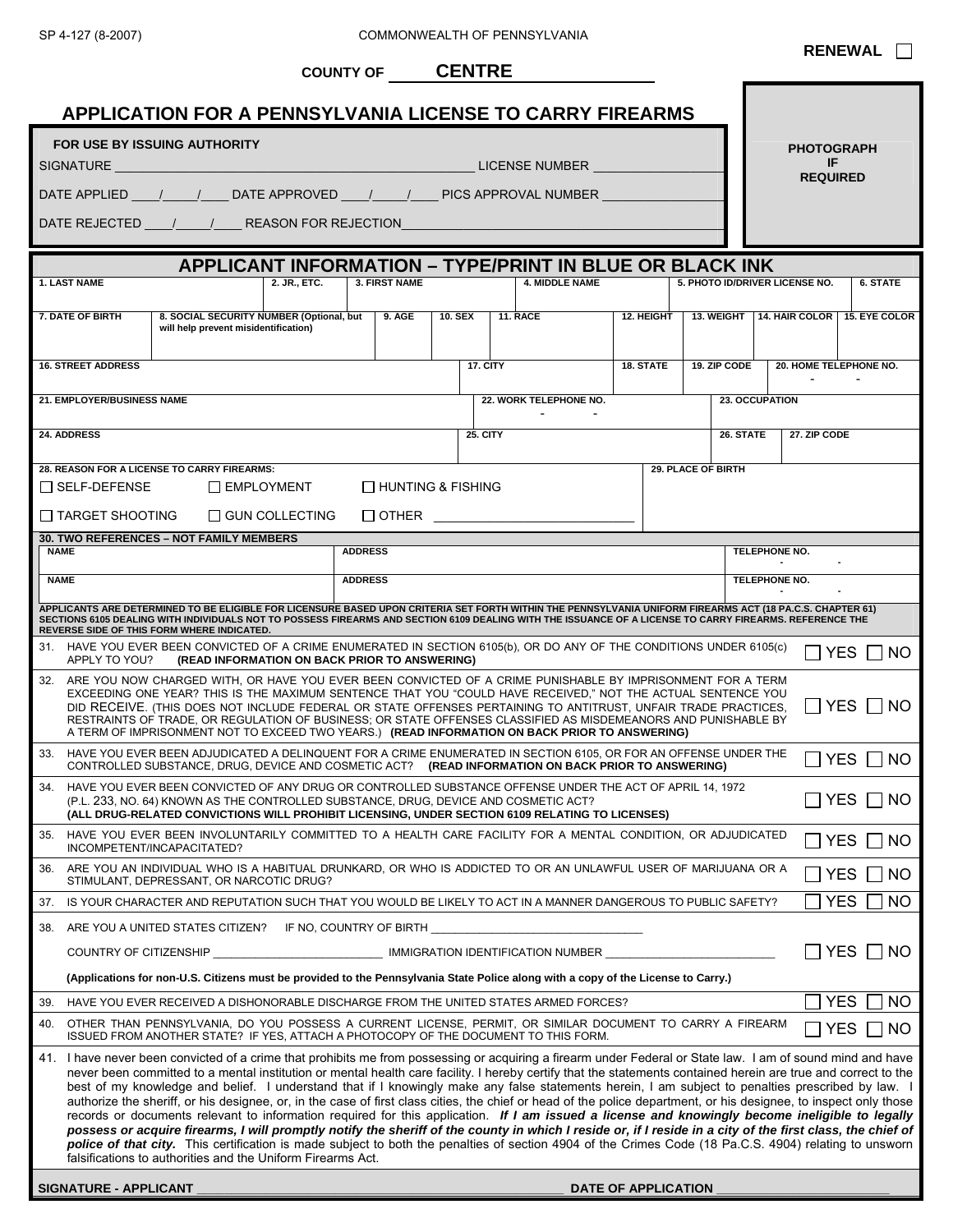|                                                                                                                                                                                                                                                                                                                                                                                                                                                                                                                                                                                                                                                                                                                                                                                                                                                                                                                                                                                                                                                                                                                                                                                                    |                                                                                                                                                                                                                                                                                                                                                                                                                                                                                                                                                                      |                                                                                                                                                                                                                                                                                                                                                                    |                       | <b>COUNTY OF CENTRE</b>                       |                 |                                                                |                     |                    |                       |                                       |                                                          |
|----------------------------------------------------------------------------------------------------------------------------------------------------------------------------------------------------------------------------------------------------------------------------------------------------------------------------------------------------------------------------------------------------------------------------------------------------------------------------------------------------------------------------------------------------------------------------------------------------------------------------------------------------------------------------------------------------------------------------------------------------------------------------------------------------------------------------------------------------------------------------------------------------------------------------------------------------------------------------------------------------------------------------------------------------------------------------------------------------------------------------------------------------------------------------------------------------|----------------------------------------------------------------------------------------------------------------------------------------------------------------------------------------------------------------------------------------------------------------------------------------------------------------------------------------------------------------------------------------------------------------------------------------------------------------------------------------------------------------------------------------------------------------------|--------------------------------------------------------------------------------------------------------------------------------------------------------------------------------------------------------------------------------------------------------------------------------------------------------------------------------------------------------------------|-----------------------|-----------------------------------------------|-----------------|----------------------------------------------------------------|---------------------|--------------------|-----------------------|---------------------------------------|----------------------------------------------------------|
|                                                                                                                                                                                                                                                                                                                                                                                                                                                                                                                                                                                                                                                                                                                                                                                                                                                                                                                                                                                                                                                                                                                                                                                                    |                                                                                                                                                                                                                                                                                                                                                                                                                                                                                                                                                                      |                                                                                                                                                                                                                                                                                                                                                                    |                       |                                               |                 |                                                                |                     |                    |                       |                                       |                                                          |
| <b>APPLICATION FOR A PENNSYLVANIA LICENSE TO CARRY FIREARMS</b>                                                                                                                                                                                                                                                                                                                                                                                                                                                                                                                                                                                                                                                                                                                                                                                                                                                                                                                                                                                                                                                                                                                                    |                                                                                                                                                                                                                                                                                                                                                                                                                                                                                                                                                                      |                                                                                                                                                                                                                                                                                                                                                                    |                       |                                               |                 |                                                                |                     |                    |                       |                                       |                                                          |
| <b>FOR USE BY ISSUING AUTHORITY</b>                                                                                                                                                                                                                                                                                                                                                                                                                                                                                                                                                                                                                                                                                                                                                                                                                                                                                                                                                                                                                                                                                                                                                                |                                                                                                                                                                                                                                                                                                                                                                                                                                                                                                                                                                      |                                                                                                                                                                                                                                                                                                                                                                    |                       |                                               |                 |                                                                |                     |                    |                       | <b>PHOTOGRAPH</b><br>IF               |                                                          |
|                                                                                                                                                                                                                                                                                                                                                                                                                                                                                                                                                                                                                                                                                                                                                                                                                                                                                                                                                                                                                                                                                                                                                                                                    | <b>REQUIRED</b>                                                                                                                                                                                                                                                                                                                                                                                                                                                                                                                                                      |                                                                                                                                                                                                                                                                                                                                                                    |                       |                                               |                 |                                                                |                     |                    |                       |                                       |                                                          |
| DATE APPLIED ___ / ___ / ___ DATE APPROVED ___ / ___ / ___ PICS APPROVAL NUMBER                                                                                                                                                                                                                                                                                                                                                                                                                                                                                                                                                                                                                                                                                                                                                                                                                                                                                                                                                                                                                                                                                                                    |                                                                                                                                                                                                                                                                                                                                                                                                                                                                                                                                                                      |                                                                                                                                                                                                                                                                                                                                                                    |                       |                                               |                 |                                                                |                     |                    |                       |                                       |                                                          |
| DATE REJECTED / / REASON FOR REJECTION                                                                                                                                                                                                                                                                                                                                                                                                                                                                                                                                                                                                                                                                                                                                                                                                                                                                                                                                                                                                                                                                                                                                                             |                                                                                                                                                                                                                                                                                                                                                                                                                                                                                                                                                                      |                                                                                                                                                                                                                                                                                                                                                                    |                       |                                               |                 |                                                                |                     |                    |                       |                                       |                                                          |
|                                                                                                                                                                                                                                                                                                                                                                                                                                                                                                                                                                                                                                                                                                                                                                                                                                                                                                                                                                                                                                                                                                                                                                                                    |                                                                                                                                                                                                                                                                                                                                                                                                                                                                                                                                                                      |                                                                                                                                                                                                                                                                                                                                                                    |                       |                                               |                 | <b>APPLICANT INFORMATION - TYPE/PRINT IN BLUE OR BLACK INK</b> |                     |                    |                       |                                       |                                                          |
|                                                                                                                                                                                                                                                                                                                                                                                                                                                                                                                                                                                                                                                                                                                                                                                                                                                                                                                                                                                                                                                                                                                                                                                                    | <b>1. LAST NAME</b>                                                                                                                                                                                                                                                                                                                                                                                                                                                                                                                                                  |                                                                                                                                                                                                                                                                                                                                                                    | 2. JR., ETC.          | 3. FIRST NAME                                 |                 | <b>4. MIDDLE NAME</b>                                          |                     |                    |                       | 5. PHOTO ID/DRIVER LICENSE NO.        | 6. STATE                                                 |
|                                                                                                                                                                                                                                                                                                                                                                                                                                                                                                                                                                                                                                                                                                                                                                                                                                                                                                                                                                                                                                                                                                                                                                                                    | 7. DATE OF BIRTH                                                                                                                                                                                                                                                                                                                                                                                                                                                                                                                                                     | 8. SOCIAL SECURITY NUMBER (Optional, but<br>will help prevent misidentification)                                                                                                                                                                                                                                                                                   |                       | 9. AGE                                        | <b>10. SEX</b>  | <b>11. RACE</b>                                                |                     |                    |                       |                                       | 12. HEIGHT   13. WEIGHT   14. HAIR COLOR   15. EYE COLOR |
|                                                                                                                                                                                                                                                                                                                                                                                                                                                                                                                                                                                                                                                                                                                                                                                                                                                                                                                                                                                                                                                                                                                                                                                                    |                                                                                                                                                                                                                                                                                                                                                                                                                                                                                                                                                                      |                                                                                                                                                                                                                                                                                                                                                                    |                       |                                               |                 |                                                                |                     |                    |                       |                                       |                                                          |
|                                                                                                                                                                                                                                                                                                                                                                                                                                                                                                                                                                                                                                                                                                                                                                                                                                                                                                                                                                                                                                                                                                                                                                                                    | <b>16. STREET ADDRESS</b>                                                                                                                                                                                                                                                                                                                                                                                                                                                                                                                                            |                                                                                                                                                                                                                                                                                                                                                                    |                       |                                               | <b>17. CITY</b> |                                                                | 18. STATE           |                    |                       | 19. ZIP CODE   20. HOME TELEPHONE NO. |                                                          |
|                                                                                                                                                                                                                                                                                                                                                                                                                                                                                                                                                                                                                                                                                                                                                                                                                                                                                                                                                                                                                                                                                                                                                                                                    | 21. EMPLOYER/BUSINESS NAME                                                                                                                                                                                                                                                                                                                                                                                                                                                                                                                                           |                                                                                                                                                                                                                                                                                                                                                                    |                       |                                               |                 | 22. WORK TELEPHONE NO.                                         |                     |                    | <b>23. OCCUPATION</b> |                                       |                                                          |
|                                                                                                                                                                                                                                                                                                                                                                                                                                                                                                                                                                                                                                                                                                                                                                                                                                                                                                                                                                                                                                                                                                                                                                                                    | <b>24. ADDRESS</b>                                                                                                                                                                                                                                                                                                                                                                                                                                                                                                                                                   |                                                                                                                                                                                                                                                                                                                                                                    |                       |                                               | <b>25. CITY</b> |                                                                |                     |                    | 26. STATE             | 27. ZIP CODE                          |                                                          |
|                                                                                                                                                                                                                                                                                                                                                                                                                                                                                                                                                                                                                                                                                                                                                                                                                                                                                                                                                                                                                                                                                                                                                                                                    |                                                                                                                                                                                                                                                                                                                                                                                                                                                                                                                                                                      |                                                                                                                                                                                                                                                                                                                                                                    |                       |                                               |                 |                                                                |                     |                    |                       |                                       |                                                          |
|                                                                                                                                                                                                                                                                                                                                                                                                                                                                                                                                                                                                                                                                                                                                                                                                                                                                                                                                                                                                                                                                                                                                                                                                    |                                                                                                                                                                                                                                                                                                                                                                                                                                                                                                                                                                      | 28. REASON FOR A LICENSE TO CARRY FIREARMS:<br>$\Box$ SELF-DEFENSE $\Box$ EMPLOYMENT                                                                                                                                                                                                                                                                               |                       | $\Box$ HUNTING & FISHING                      |                 |                                                                |                     | 29. PLACE OF BIRTH |                       |                                       |                                                          |
|                                                                                                                                                                                                                                                                                                                                                                                                                                                                                                                                                                                                                                                                                                                                                                                                                                                                                                                                                                                                                                                                                                                                                                                                    | $\Box$ TARGET SHOOTING                                                                                                                                                                                                                                                                                                                                                                                                                                                                                                                                               |                                                                                                                                                                                                                                                                                                                                                                    | $\Box$ GUN COLLECTING |                                               |                 |                                                                |                     |                    |                       |                                       |                                                          |
|                                                                                                                                                                                                                                                                                                                                                                                                                                                                                                                                                                                                                                                                                                                                                                                                                                                                                                                                                                                                                                                                                                                                                                                                    |                                                                                                                                                                                                                                                                                                                                                                                                                                                                                                                                                                      | 30. TWO REFERENCES - NOT FAMILY MEMBERS                                                                                                                                                                                                                                                                                                                            |                       |                                               |                 |                                                                |                     |                    |                       |                                       |                                                          |
|                                                                                                                                                                                                                                                                                                                                                                                                                                                                                                                                                                                                                                                                                                                                                                                                                                                                                                                                                                                                                                                                                                                                                                                                    | <b>NAME</b>                                                                                                                                                                                                                                                                                                                                                                                                                                                                                                                                                          |                                                                                                                                                                                                                                                                                                                                                                    |                       | <b>ADDRESS</b>                                |                 |                                                                |                     |                    |                       | TELEPHONE NO.                         |                                                          |
|                                                                                                                                                                                                                                                                                                                                                                                                                                                                                                                                                                                                                                                                                                                                                                                                                                                                                                                                                                                                                                                                                                                                                                                                    | <b>NAME</b>                                                                                                                                                                                                                                                                                                                                                                                                                                                                                                                                                          |                                                                                                                                                                                                                                                                                                                                                                    |                       | <b>ADDRESS</b>                                |                 |                                                                |                     |                    | TELEPHONE NO.         |                                       |                                                          |
|                                                                                                                                                                                                                                                                                                                                                                                                                                                                                                                                                                                                                                                                                                                                                                                                                                                                                                                                                                                                                                                                                                                                                                                                    |                                                                                                                                                                                                                                                                                                                                                                                                                                                                                                                                                                      | APPLICANTS ARE DETERMINED TO BE ELIGIBLE FOR LICENSURE BASED UPON CRITERIA SET FORTH WITHIN THE PENNSYLVANIA UNIFORM FIREARMS ACT (18 PA.C.S. CHAPTER 61)<br>SECTIONS 6105 DEALING WITH INDIVIDUALS NOT TO POSSESS FIREARMS AND SECTION 6109 DEALING WITH THE ISSUANCE OF A LICENSE TO CARRY FIREARMS. REFERENCE THE<br>REVERSE SIDE OF THIS FORM WHERE INDICATED. |                       |                                               |                 |                                                                |                     |                    |                       |                                       |                                                          |
|                                                                                                                                                                                                                                                                                                                                                                                                                                                                                                                                                                                                                                                                                                                                                                                                                                                                                                                                                                                                                                                                                                                                                                                                    | APPLY TO YOU?                                                                                                                                                                                                                                                                                                                                                                                                                                                                                                                                                        | 31. HAVE YOU EVER BEEN CONVICTED OF A CRIME ENUMERATED IN SECTION 6105(b), OR DO ANY OF THE CONDITIONS UNDER 6105(c)                                                                                                                                                                                                                                               |                       | (READ INFORMATION ON BACK PRIOR TO ANSWERING) |                 |                                                                |                     |                    |                       |                                       | I YES ΠNO                                                |
|                                                                                                                                                                                                                                                                                                                                                                                                                                                                                                                                                                                                                                                                                                                                                                                                                                                                                                                                                                                                                                                                                                                                                                                                    | 32. ARE YOU NOW CHARGED WITH, OR HAVE YOU EVER BEEN CONVICTED OF A CRIME PUNISHABLE BY IMPRISONMENT FOR A TERM<br>EXCEEDING ONE YEAR? THIS IS THE MAXIMUM SENTENCE THAT YOU "COULD HAVE RECEIVED," NOT THE ACTUAL SENTENCE YOU<br>DID RECEIVE. (THIS DOES NOT INCLUDE FEDERAL OR STATE OFFENSES PERTAINING TO ANTITRUST, UNFAIR TRADE PRACTICES,<br>RESTRAINTS OF TRADE, OR REGULATION OF BUSINESS; OR STATE OFFENSES CLASSIFIED AS MISDEMEANORS AND PUNISHABLE BY<br>A TERM OF IMPRISONMENT NOT TO EXCEED TWO YEARS.) (READ INFORMATION ON BACK PRIOR TO ANSWERING) |                                                                                                                                                                                                                                                                                                                                                                    |                       |                                               |                 |                                                                |                     |                    |                       |                                       |                                                          |
|                                                                                                                                                                                                                                                                                                                                                                                                                                                                                                                                                                                                                                                                                                                                                                                                                                                                                                                                                                                                                                                                                                                                                                                                    |                                                                                                                                                                                                                                                                                                                                                                                                                                                                                                                                                                      | 33. HAVE YOU EVER BEEN ADJUDICATED A DELINQUENT FOR A CRIME ENUMERATED IN SECTION 6105, OR FOR AN OFFENSE UNDER THE                                                                                                                                                                                                                                                |                       |                                               |                 |                                                                |                     |                    |                       |                                       |                                                          |
|                                                                                                                                                                                                                                                                                                                                                                                                                                                                                                                                                                                                                                                                                                                                                                                                                                                                                                                                                                                                                                                                                                                                                                                                    | CONTROLLED SUBSTANCE, DRUG, DEVICE AND COSMETIC ACT? (READ INFORMATION ON BACK PRIOR TO ANSWERING)<br>34. HAVE YOU EVER BEEN CONVICTED OF ANY DRUG OR CONTROLLED SUBSTANCE OFFENSE UNDER THE ACT OF APRIL 14, 1972<br>YES $\Box$ NO<br>(P.L. 233, NO. 64) KNOWN AS THE CONTROLLED SUBSTANCE, DRUG, DEVICE AND COSMETIC ACT?                                                                                                                                                                                                                                          |                                                                                                                                                                                                                                                                                                                                                                    |                       |                                               |                 |                                                                |                     |                    |                       |                                       |                                                          |
|                                                                                                                                                                                                                                                                                                                                                                                                                                                                                                                                                                                                                                                                                                                                                                                                                                                                                                                                                                                                                                                                                                                                                                                                    | (ALL DRUG-RELATED CONVICTIONS WILL PROHIBIT LICENSING, UNDER SECTION 6109 RELATING TO LICENSES)<br>35. HAVE YOU EVER BEEN INVOLUNTARILY COMMITTED TO A HEALTH CARE FACILITY FOR A MENTAL CONDITION, OR ADJUDICATED<br><b>YES</b>                                                                                                                                                                                                                                                                                                                                     |                                                                                                                                                                                                                                                                                                                                                                    |                       |                                               |                 |                                                                |                     |                    |                       |                                       |                                                          |
| 36.                                                                                                                                                                                                                                                                                                                                                                                                                                                                                                                                                                                                                                                                                                                                                                                                                                                                                                                                                                                                                                                                                                                                                                                                |                                                                                                                                                                                                                                                                                                                                                                                                                                                                                                                                                                      | INCOMPETENT/INCAPACITATED?<br>ARE YOU AN INDIVIDUAL WHO IS A HABITUAL DRUNKARD, OR WHO IS ADDICTED TO OR AN UNLAWFUL USER OF MARIJUANA OR A                                                                                                                                                                                                                        |                       |                                               |                 |                                                                |                     |                    |                       | <b>YES</b>                            | $\Box$ No<br>NO<br>$\overline{\phantom{a}}$              |
|                                                                                                                                                                                                                                                                                                                                                                                                                                                                                                                                                                                                                                                                                                                                                                                                                                                                                                                                                                                                                                                                                                                                                                                                    |                                                                                                                                                                                                                                                                                                                                                                                                                                                                                                                                                                      | STIMULANT, DEPRESSANT, OR NARCOTIC DRUG?                                                                                                                                                                                                                                                                                                                           |                       |                                               |                 |                                                                |                     |                    |                       | <b>YES</b>                            |                                                          |
| 37.                                                                                                                                                                                                                                                                                                                                                                                                                                                                                                                                                                                                                                                                                                                                                                                                                                                                                                                                                                                                                                                                                                                                                                                                |                                                                                                                                                                                                                                                                                                                                                                                                                                                                                                                                                                      | IS YOUR CHARACTER AND REPUTATION SUCH THAT YOU WOULD BE LIKELY TO ACT IN A MANNER DANGEROUS TO PUBLIC SAFETY?<br>38. ARE YOU A UNITED STATES CITIZEN? IF NO, COUNTRY OF BIRTH ____________________                                                                                                                                                                 |                       |                                               |                 |                                                                |                     |                    |                       |                                       | NO                                                       |
|                                                                                                                                                                                                                                                                                                                                                                                                                                                                                                                                                                                                                                                                                                                                                                                                                                                                                                                                                                                                                                                                                                                                                                                                    |                                                                                                                                                                                                                                                                                                                                                                                                                                                                                                                                                                      | COUNTRY OF CITIZENSHIP _______________________________IMMIGRATION IDENTIFICATION NUMBER ____________                                                                                                                                                                                                                                                               |                       |                                               |                 |                                                                |                     |                    |                       |                                       | YES $\Box$ NO                                            |
|                                                                                                                                                                                                                                                                                                                                                                                                                                                                                                                                                                                                                                                                                                                                                                                                                                                                                                                                                                                                                                                                                                                                                                                                    |                                                                                                                                                                                                                                                                                                                                                                                                                                                                                                                                                                      | (Applications for non-U.S. Citizens must be provided to the Pennsylvania State Police along with a copy of the License to Carry.)                                                                                                                                                                                                                                  |                       |                                               |                 |                                                                |                     |                    |                       |                                       |                                                          |
| 39.                                                                                                                                                                                                                                                                                                                                                                                                                                                                                                                                                                                                                                                                                                                                                                                                                                                                                                                                                                                                                                                                                                                                                                                                |                                                                                                                                                                                                                                                                                                                                                                                                                                                                                                                                                                      | HAVE YOU EVER RECEIVED A DISHONORABLE DISCHARGE FROM THE UNITED STATES ARMED FORCES?                                                                                                                                                                                                                                                                               |                       |                                               |                 |                                                                |                     |                    |                       | <b>YES</b>                            | NO.                                                      |
| 40.                                                                                                                                                                                                                                                                                                                                                                                                                                                                                                                                                                                                                                                                                                                                                                                                                                                                                                                                                                                                                                                                                                                                                                                                |                                                                                                                                                                                                                                                                                                                                                                                                                                                                                                                                                                      | OTHER THAN PENNSYLVANIA, DO YOU POSSESS A CURRENT LICENSE, PERMIT, OR SIMILAR DOCUMENT TO CARRY A FIREARM<br>ISSUED FROM ANOTHER STATE? IF YES, ATTACH A PHOTOCOPY OF THE DOCUMENT TO THIS FORM.                                                                                                                                                                   |                       |                                               |                 |                                                                |                     |                    |                       | <b>YES</b>                            | I NO                                                     |
| 41. I have never been convicted of a crime that prohibits me from possessing or acquiring a firearm under Federal or State law. I am of sound mind and have<br>never been committed to a mental institution or mental health care facility. I hereby certify that the statements contained herein are true and correct to the<br>best of my knowledge and belief. I understand that if I knowingly make any false statements herein, I am subject to penalties prescribed by law. I<br>authorize the sheriff, or his designee, or, in the case of first class cities, the chief or head of the police department, or his designee, to inspect only those<br>records or documents relevant to information required for this application. If I am issued a license and knowingly become ineligible to legally<br>possess or acquire firearms, I will promptly notify the sheriff of the county in which I reside or, if I reside in a city of the first class, the chief of<br>police of that city. This certification is made subject to both the penalties of section 4904 of the Crimes Code (18 Pa.C.S. 4904) relating to unsworn<br>falsifications to authorities and the Uniform Firearms Act. |                                                                                                                                                                                                                                                                                                                                                                                                                                                                                                                                                                      |                                                                                                                                                                                                                                                                                                                                                                    |                       |                                               |                 |                                                                |                     |                    |                       |                                       |                                                          |
|                                                                                                                                                                                                                                                                                                                                                                                                                                                                                                                                                                                                                                                                                                                                                                                                                                                                                                                                                                                                                                                                                                                                                                                                    | <b>SIGNATURE - APPLICANT</b>                                                                                                                                                                                                                                                                                                                                                                                                                                                                                                                                         |                                                                                                                                                                                                                                                                                                                                                                    |                       |                                               |                 |                                                                | DATE OF APPLICATION |                    |                       |                                       |                                                          |